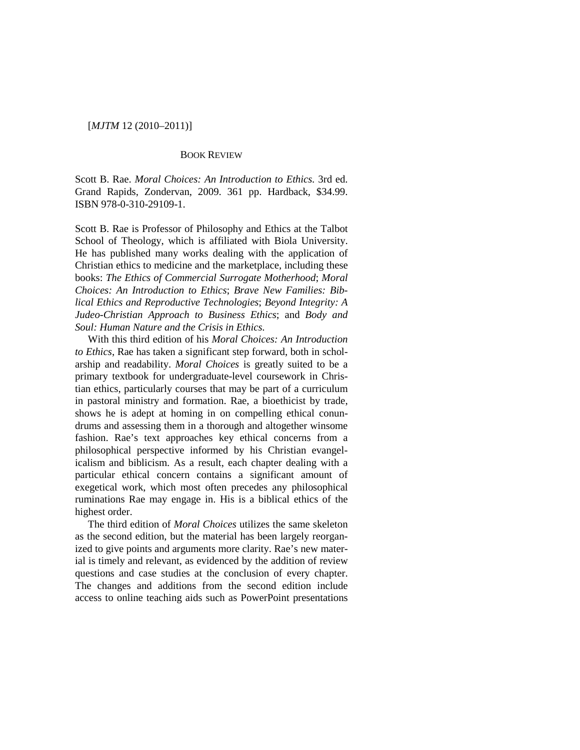# [*MJTM* 12 (2010–2011)]

### BOOK REVIEW

Scott B. Rae. *Moral Choices: An Introduction to Ethics.* 3rd ed. Grand Rapids, Zondervan, 2009. 361 pp. Hardback, \$34.99. ISBN 978-0-310-29109-1.

Scott B. Rae is Professor of Philosophy and Ethics at the Talbot School of Theology, which is affiliated with Biola University. He has published many works dealing with the application of Christian ethics to medicine and the marketplace, including these books: *The Ethics of Commercial Surrogate Motherhood*; *Moral Choices: An Introduction to Ethics*; *Brave New Families: Biblical Ethics and Reproductive Technologies*; *Beyond Integrity: A Judeo-Christian Approach to Business Ethics*; and *Body and Soul: Human Nature and the Crisis in Ethics.*

With this third edition of his *Moral Choices: An Introduction to Ethics*, Rae has taken a significant step forward, both in scholarship and readability. *Moral Choices* is greatly suited to be a primary textbook for undergraduate-level coursework in Christian ethics, particularly courses that may be part of a curriculum in pastoral ministry and formation. Rae, a bioethicist by trade, shows he is adept at homing in on compelling ethical conundrums and assessing them in a thorough and altogether winsome fashion. Rae's text approaches key ethical concerns from a philosophical perspective informed by his Christian evangelicalism and biblicism. As a result, each chapter dealing with a particular ethical concern contains a significant amount of exegetical work, which most often precedes any philosophical ruminations Rae may engage in. His is a biblical ethics of the highest order.

The third edition of *Moral Choices* utilizes the same skeleton as the second edition, but the material has been largely reorganized to give points and arguments more clarity. Rae's new material is timely and relevant, as evidenced by the addition of review questions and case studies at the conclusion of every chapter. The changes and additions from the second edition include access to online teaching aids such as PowerPoint presentations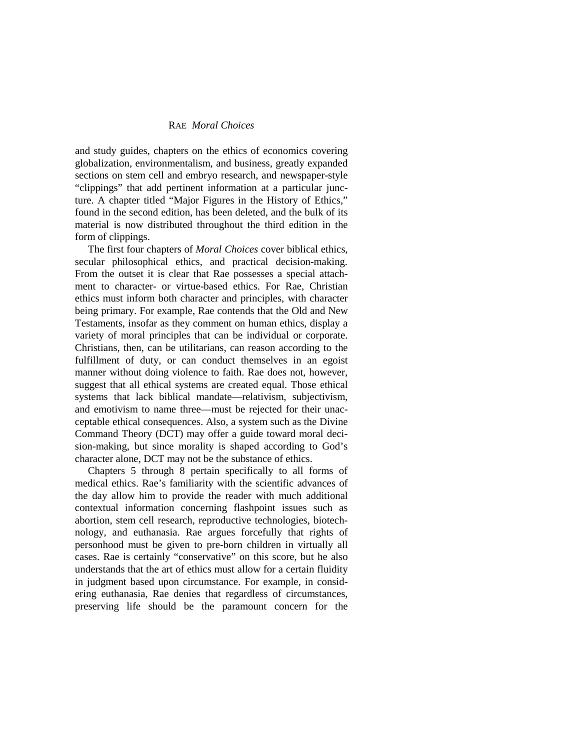## RAE *Moral Choices*

and study guides, chapters on the ethics of economics covering globalization, environmentalism, and business, greatly expanded sections on stem cell and embryo research, and newspaper-style "clippings" that add pertinent information at a particular juncture. A chapter titled "Major Figures in the History of Ethics," found in the second edition, has been deleted, and the bulk of its material is now distributed throughout the third edition in the form of clippings.

The first four chapters of *Moral Choices* cover biblical ethics, secular philosophical ethics, and practical decision-making. From the outset it is clear that Rae possesses a special attachment to character- or virtue-based ethics. For Rae, Christian ethics must inform both character and principles, with character being primary. For example, Rae contends that the Old and New Testaments, insofar as they comment on human ethics, display a variety of moral principles that can be individual or corporate. Christians, then, can be utilitarians, can reason according to the fulfillment of duty, or can conduct themselves in an egoist manner without doing violence to faith. Rae does not, however, suggest that all ethical systems are created equal. Those ethical systems that lack biblical mandate—relativism, subjectivism, and emotivism to name three—must be rejected for their unacceptable ethical consequences. Also, a system such as the Divine Command Theory (DCT) may offer a guide toward moral decision-making, but since morality is shaped according to God's character alone, DCT may not be the substance of ethics.

Chapters 5 through 8 pertain specifically to all forms of medical ethics. Rae's familiarity with the scientific advances of the day allow him to provide the reader with much additional contextual information concerning flashpoint issues such as abortion, stem cell research, reproductive technologies, biotechnology, and euthanasia. Rae argues forcefully that rights of personhood must be given to pre-born children in virtually all cases. Rae is certainly "conservative" on this score, but he also understands that the art of ethics must allow for a certain fluidity in judgment based upon circumstance. For example, in considering euthanasia, Rae denies that regardless of circumstances, preserving life should be the paramount concern for the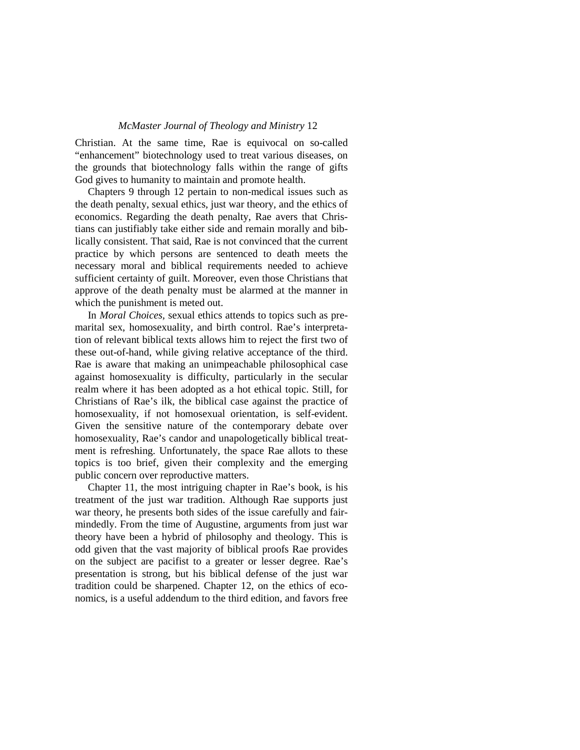### *McMaster Journal of Theology and Ministry* 12

Christian. At the same time, Rae is equivocal on so-called "enhancement" biotechnology used to treat various diseases, on the grounds that biotechnology falls within the range of gifts God gives to humanity to maintain and promote health.

Chapters 9 through 12 pertain to non-medical issues such as the death penalty, sexual ethics, just war theory, and the ethics of economics. Regarding the death penalty, Rae avers that Christians can justifiably take either side and remain morally and biblically consistent. That said, Rae is not convinced that the current practice by which persons are sentenced to death meets the necessary moral and biblical requirements needed to achieve sufficient certainty of guilt. Moreover, even those Christians that approve of the death penalty must be alarmed at the manner in which the punishment is meted out.

In *Moral Choices,* sexual ethics attends to topics such as premarital sex, homosexuality, and birth control. Rae's interpretation of relevant biblical texts allows him to reject the first two of these out-of-hand, while giving relative acceptance of the third. Rae is aware that making an unimpeachable philosophical case against homosexuality is difficulty, particularly in the secular realm where it has been adopted as a hot ethical topic. Still, for Christians of Rae's ilk, the biblical case against the practice of homosexuality, if not homosexual orientation, is self-evident. Given the sensitive nature of the contemporary debate over homosexuality, Rae's candor and unapologetically biblical treatment is refreshing. Unfortunately, the space Rae allots to these topics is too brief, given their complexity and the emerging public concern over reproductive matters.

Chapter 11, the most intriguing chapter in Rae's book, is his treatment of the just war tradition. Although Rae supports just war theory, he presents both sides of the issue carefully and fairmindedly. From the time of Augustine, arguments from just war theory have been a hybrid of philosophy and theology. This is odd given that the vast majority of biblical proofs Rae provides on the subject are pacifist to a greater or lesser degree. Rae's presentation is strong, but his biblical defense of the just war tradition could be sharpened. Chapter 12, on the ethics of economics, is a useful addendum to the third edition, and favors free